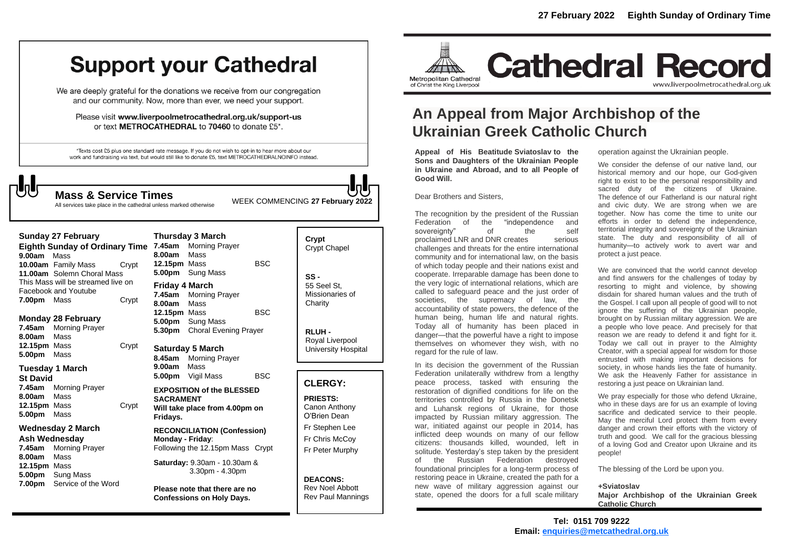## **Support your Cathedral**

We are deeply grateful for the donations we receive from our congregation and our community. Now, more than ever, we need your support.

Please visit www.liverpoolmetrocathedral.org.uk/support-us or text METROCATHEDRAL to 70460 to donate £5\*.

\*Texts cost £5 plus one standard rate message. If you do not wish to opt-in to hear more about our work and fundraising via text, but would still like to donate £5, text METROCATHEDRALNOINFO instead.

WEEK COMMENCING **<sup>27</sup> February <sup>2022</sup> Mass & Service Times**

All services take place in the cathedral unless marked otherwise

#### **Sunday 27 February**

**Eighth Sunday of Ordinary Time 7.45am** Morning Prayer **9.00am** Mass **10.00am** Family Mass Crypt **11.00am** Solemn Choral Mass This Mass will be streamed live on Facebook and Youtube **7.00pm** Mass **Crypt** 

#### **Monday 28 February**

**7.45am** Morning Prayer **8.00am** Mass **12.15pm** Mass Crypt **5.00pm** Mass

#### **Tuesday 1 March**

**St David 7.45am** Morning Prayer **8.00am** Mass **12.15pm** Mass Crypt **5.00pm** Mass

#### **Wednesday 2 March**

**Ash Wednesday 7.45am** Morning Prayer **8.00am** Mass **12.15pm** Mass **5.00pm** Sung Mass **7.00pm** Service of the Word

**Thursday 3 March 8.00am** Mass **12.15pm** Mass BSC **5.00pm** Sung Mass **Friday 4 March 7.45am** Morning Prayer **8.00am** Mass **12.15pm** Mass BSC **5.00pm** Sung Mass **5.30pm** Choral Evening Prayer

**Saturday 5 March 8.45am** Morning Prayer **9.00am** Mass **5.00pm** Vigil Mass BSC

**EXPOSITION of the BLESSED SACRAMENT Will take place from 4.00pm on Fridays.**

**RECONCILIATION (Confession) Monday - Friday**: Following the 12.15pm Mass Crypt

**Saturday:** 9.30am - 10.30am & 3.30pm - 4.30pm

**Please note that there are no Confessions on Holy Days.**

### **Crypt**  Crypt Chapel **SS -** 55 Seel St, Missionaries of **Charity**

**RLUH -** Royal Liverpool University Hospital

#### **CLERGY:**

**PRIESTS:** Canon Anthony O'Brien *Dean*

Fr Stephen Lee Fr Chris McCoy Fr Peter Murphy

**DEACONS:** Rev Noel Abbott Rev Paul Mannings



## **An Appeal from Major Archbishop of the Ukrainian Greek Catholic Church**

**Appeal of His Beatitude Sviatoslav to the Sons and Daughters of the Ukrainian People in Ukraine and Abroad, and to all People of Good Will.**

Dear Brothers and Sisters,

The recognition by the president of the Russian Federation of the "independence and<br>sovereignty" of the self sovereignty" of proclaimed LNR and DNR creates serious challenges and threats for the entire international community and for international law, on the basis of which today people and their nations exist and cooperate. Irreparable damage has been done to the very logic of international relations, which are called to safeguard peace and the just order of societies, the supremacy of law, the accountability of state powers, the defence of the human being, human life and natural rights. Today all of humanity has been placed in danger—that the powerful have a right to impose themselves on whomever they wish, with no regard for the rule of law.

In its decision the government of the Russian Federation unilaterally withdrew from a lengthy peace process, tasked with ensuring the restoration of dignified conditions for life on the territories controlled by Russia in the Donetsk and Luhansk regions of Ukraine, for those impacted by Russian military aggression. The war, initiated against our people in 2014, has inflicted deep wounds on many of our fellow citizens: thousands killed, wounded, left in solitude. Yesterday's step taken by the president of the Russian Federation destroyed foundational principles for a long-term process of restoring peace in Ukraine, created the path for a new wave of military aggression against our state, opened the doors for a full scale military

operation against the Ukrainian people.

We consider the defense of our native land, our historical memory and our hope, our God-given right to exist to be the personal responsibility and sacred duty of the citizens of Ukraine. The defence of our Fatherland is our natural right and civic duty. We are strong when we are together. Now has come the time to unite our efforts in order to defend the independence, territorial integrity and sovereignty of the Ukrainian state. The duty and responsibility of all of humanity—to actively work to avert war and protect a just peace.

We are convinced that the world cannot develop and find answers for the challenges of today by resorting to might and violence, by showing disdain for shared human values and the truth of the Gospel. I call upon all people of good will to not ignore the suffering of the Ukrainian people, brought on by Russian military aggression. We are a people who love peace. And precisely for that reason we are ready to defend it and fight for it. Today we call out in prayer to the Almighty Creator, with a special appeal for wisdom for those entrusted with making important decisions for society, in whose hands lies the fate of humanity. We ask the Heavenly Father for assistance in restoring a just peace on Ukrainian land.

We pray especially for those who defend Ukraine, who in these days are for us an example of loving sacrifice and dedicated service to their people. May the merciful Lord protect them from every danger and crown their efforts with the victory of truth and good. We call for the gracious blessing of a loving God and Creator upon Ukraine and its people!

The blessing of the Lord be upon you.

#### **+Sviatoslav**

**Major Archbishop of the Ukrainian Greek Catholic Church**